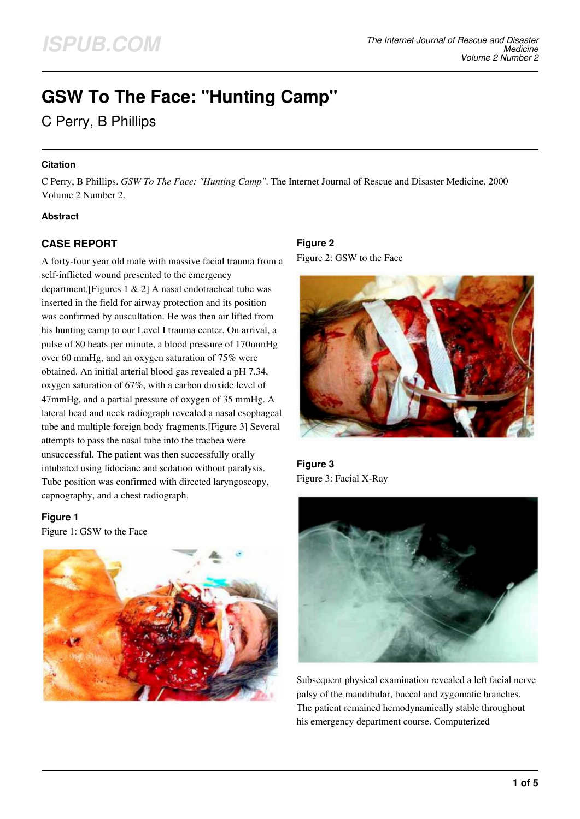# **GSW To The Face: "Hunting Camp"**

# C Perry, B Phillips

#### **Citation**

C Perry, B Phillips. *GSW To The Face: "Hunting Camp"*. The Internet Journal of Rescue and Disaster Medicine. 2000 Volume 2 Number 2.

# **Abstract**

# **CASE REPORT**

A forty-four year old male with massive facial trauma from a self-inflicted wound presented to the emergency department.[Figures 1 & 2] A nasal endotracheal tube was inserted in the field for airway protection and its position was confirmed by auscultation. He was then air lifted from his hunting camp to our Level I trauma center. On arrival, a pulse of 80 beats per minute, a blood pressure of 170mmHg over 60 mmHg, and an oxygen saturation of 75% were obtained. An initial arterial blood gas revealed a pH 7.34, oxygen saturation of 67%, with a carbon dioxide level of 47mmHg, and a partial pressure of oxygen of 35 mmHg. A lateral head and neck radiograph revealed a nasal esophageal tube and multiple foreign body fragments.[Figure 3] Several attempts to pass the nasal tube into the trachea were unsuccessful. The patient was then successfully orally intubated using lidociane and sedation without paralysis. Tube position was confirmed with directed laryngoscopy, capnography, and a chest radiograph.

#### **Figure 1**

Figure 1: GSW to the Face



# **Figure 2**

Figure 2: GSW to the Face



**Figure 3** Figure 3: Facial X-Ray



Subsequent physical examination revealed a left facial nerve palsy of the mandibular, buccal and zygomatic branches. The patient remained hemodynamically stable throughout his emergency department course. Computerized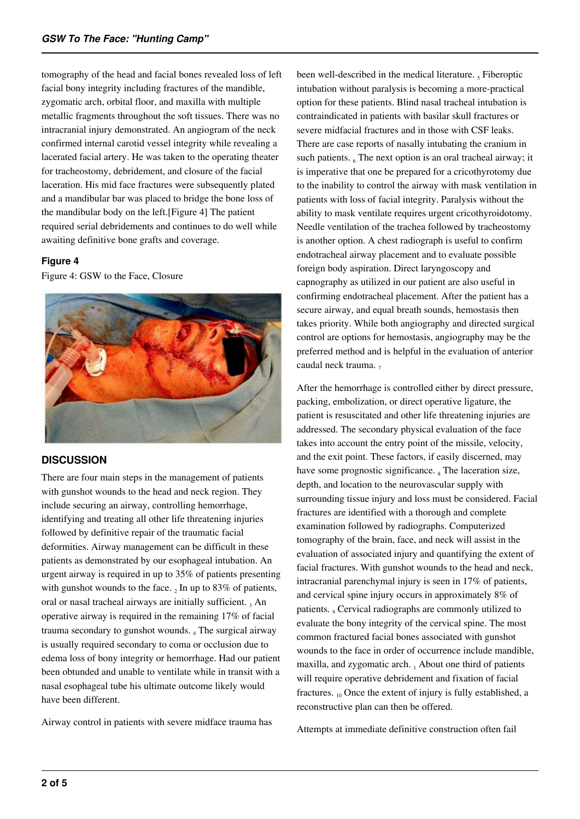tomography of the head and facial bones revealed loss of left facial bony integrity including fractures of the mandible, zygomatic arch, orbital floor, and maxilla with multiple metallic fragments throughout the soft tissues. There was no intracranial injury demonstrated. An angiogram of the neck confirmed internal carotid vessel integrity while revealing a lacerated facial artery. He was taken to the operating theater for tracheostomy, debridement, and closure of the facial laceration. His mid face fractures were subsequently plated and a mandibular bar was placed to bridge the bone loss of the mandibular body on the left.[Figure 4] The patient required serial debridements and continues to do well while awaiting definitive bone grafts and coverage.

#### **Figure 4**

Figure 4: GSW to the Face, Closure



# **DISCUSSION**

There are four main steps in the management of patients with gunshot wounds to the head and neck region. They include securing an airway, controlling hemorrhage, identifying and treating all other life threatening injuries followed by definitive repair of the traumatic facial deformities. Airway management can be difficult in these patients as demonstrated by our esophageal intubation. An urgent airway is required in up to 35% of patients presenting with gunshot wounds to the face.  $_2$  In up to 83% of patients, oral or nasal tracheal airways are initially sufficient. 3 An operative airway is required in the remaining 17% of facial trauma secondary to gunshot wounds. 4 The surgical airway is usually required secondary to coma or occlusion due to edema loss of bony integrity or hemorrhage. Had our patient been obtunded and unable to ventilate while in transit with a nasal esophageal tube his ultimate outcome likely would have been different.

Airway control in patients with severe midface trauma has

been well-described in the medical literature.  $<sub>5</sub>$  Fiberoptic</sub> intubation without paralysis is becoming a more-practical option for these patients. Blind nasal tracheal intubation is contraindicated in patients with basilar skull fractures or severe midfacial fractures and in those with CSF leaks. There are case reports of nasally intubating the cranium in such patients.  $_6$  The next option is an oral tracheal airway; it is imperative that one be prepared for a cricothyrotomy due to the inability to control the airway with mask ventilation in patients with loss of facial integrity. Paralysis without the ability to mask ventilate requires urgent cricothyroidotomy. Needle ventilation of the trachea followed by tracheostomy is another option. A chest radiograph is useful to confirm endotracheal airway placement and to evaluate possible foreign body aspiration. Direct laryngoscopy and capnography as utilized in our patient are also useful in confirming endotracheal placement. After the patient has a secure airway, and equal breath sounds, hemostasis then takes priority. While both angiography and directed surgical control are options for hemostasis, angiography may be the preferred method and is helpful in the evaluation of anterior caudal neck trauma. 7

After the hemorrhage is controlled either by direct pressure, packing, embolization, or direct operative ligature, the patient is resuscitated and other life threatening injuries are addressed. The secondary physical evaluation of the face takes into account the entry point of the missile, velocity, and the exit point. These factors, if easily discerned, may have some prognostic significance.  $_8$  The laceration size, depth, and location to the neurovascular supply with surrounding tissue injury and loss must be considered. Facial fractures are identified with a thorough and complete examination followed by radiographs. Computerized tomography of the brain, face, and neck will assist in the evaluation of associated injury and quantifying the extent of facial fractures. With gunshot wounds to the head and neck, intracranial parenchymal injury is seen in 17% of patients, and cervical spine injury occurs in approximately 8% of patients. <sub>9</sub> Cervical radiographs are commonly utilized to evaluate the bony integrity of the cervical spine. The most common fractured facial bones associated with gunshot wounds to the face in order of occurrence include mandible, maxilla, and zygomatic arch. 1 About one third of patients will require operative debridement and fixation of facial fractures.  $_{10}$  Once the extent of injury is fully established, a reconstructive plan can then be offered.

Attempts at immediate definitive construction often fail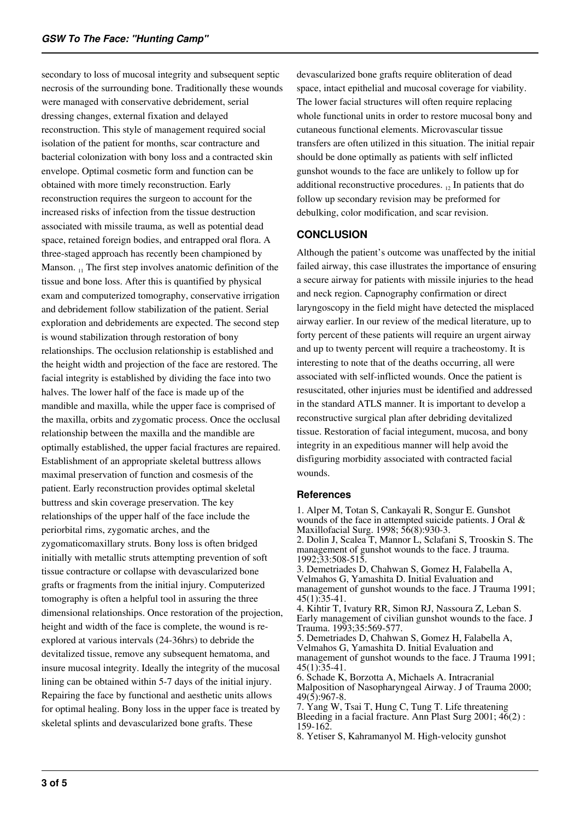secondary to loss of mucosal integrity and subsequent septic necrosis of the surrounding bone. Traditionally these wounds were managed with conservative debridement, serial dressing changes, external fixation and delayed reconstruction. This style of management required social isolation of the patient for months, scar contracture and bacterial colonization with bony loss and a contracted skin envelope. Optimal cosmetic form and function can be obtained with more timely reconstruction. Early reconstruction requires the surgeon to account for the increased risks of infection from the tissue destruction associated with missile trauma, as well as potential dead space, retained foreign bodies, and entrapped oral flora. A three-staged approach has recently been championed by Manson.  $_{11}$  The first step involves anatomic definition of the tissue and bone loss. After this is quantified by physical exam and computerized tomography, conservative irrigation and debridement follow stabilization of the patient. Serial exploration and debridements are expected. The second step is wound stabilization through restoration of bony relationships. The occlusion relationship is established and the height width and projection of the face are restored. The facial integrity is established by dividing the face into two halves. The lower half of the face is made up of the mandible and maxilla, while the upper face is comprised of the maxilla, orbits and zygomatic process. Once the occlusal relationship between the maxilla and the mandible are optimally established, the upper facial fractures are repaired. Establishment of an appropriate skeletal buttress allows maximal preservation of function and cosmesis of the patient. Early reconstruction provides optimal skeletal buttress and skin coverage preservation. The key relationships of the upper half of the face include the periorbital rims, zygomatic arches, and the zygomaticomaxillary struts. Bony loss is often bridged initially with metallic struts attempting prevention of soft tissue contracture or collapse with devascularized bone grafts or fragments from the initial injury. Computerized tomography is often a helpful tool in assuring the three dimensional relationships. Once restoration of the projection, height and width of the face is complete, the wound is reexplored at various intervals (24-36hrs) to debride the devitalized tissue, remove any subsequent hematoma, and insure mucosal integrity. Ideally the integrity of the mucosal lining can be obtained within 5-7 days of the initial injury. Repairing the face by functional and aesthetic units allows for optimal healing. Bony loss in the upper face is treated by skeletal splints and devascularized bone grafts. These

devascularized bone grafts require obliteration of dead space, intact epithelial and mucosal coverage for viability. The lower facial structures will often require replacing whole functional units in order to restore mucosal bony and cutaneous functional elements. Microvascular tissue transfers are often utilized in this situation. The initial repair should be done optimally as patients with self inflicted gunshot wounds to the face are unlikely to follow up for additional reconstructive procedures.  $_{12}$  In patients that do follow up secondary revision may be preformed for debulking, color modification, and scar revision.

#### **CONCLUSION**

Although the patient's outcome was unaffected by the initial failed airway, this case illustrates the importance of ensuring a secure airway for patients with missile injuries to the head and neck region. Capnography confirmation or direct laryngoscopy in the field might have detected the misplaced airway earlier. In our review of the medical literature, up to forty percent of these patients will require an urgent airway and up to twenty percent will require a tracheostomy. It is interesting to note that of the deaths occurring, all were associated with self-inflicted wounds. Once the patient is resuscitated, other injuries must be identified and addressed in the standard ATLS manner. It is important to develop a reconstructive surgical plan after debriding devitalized tissue. Restoration of facial integument, mucosa, and bony integrity in an expeditious manner will help avoid the disfiguring morbidity associated with contracted facial wounds.

#### **References**

1. Alper M, Totan S, Cankayali R, Songur E. Gunshot wounds of the face in attempted suicide patients. J Oral & Maxillofacial Surg. 1998; 56(8):930-3. 2. Dolin J, Scalea T, Mannor L, Sclafani S, Trooskin S. The management of gunshot wounds to the face. J trauma. 1992;33:508-515.

3. Demetriades D, Chahwan S, Gomez H, Falabella A, Velmahos G, Yamashita D. Initial Evaluation and management of gunshot wounds to the face. J Trauma 1991; 45(1):35-41.

4. Kihtir T, Ivatury RR, Simon RJ, Nassoura Z, Leban S. Early management of civilian gunshot wounds to the face. J Trauma. 1993;35:569-577.

5. Demetriades D, Chahwan S, Gomez H, Falabella A, Velmahos G, Yamashita D. Initial Evaluation and management of gunshot wounds to the face. J Trauma 1991; 45(1):35-41. 6. Schade K, Borzotta A, Michaels A. Intracranial

Malposition of Nasopharyngeal Airway. J of Trauma 2000;  $49(5):967-8.$ 

7. Yang W, Tsai T, Hung C, Tung T. Life threatening Bleeding in a facial fracture. Ann Plast Surg 2001; 46(2) : 159-162.

8. Yetiser S, Kahramanyol M. High-velocity gunshot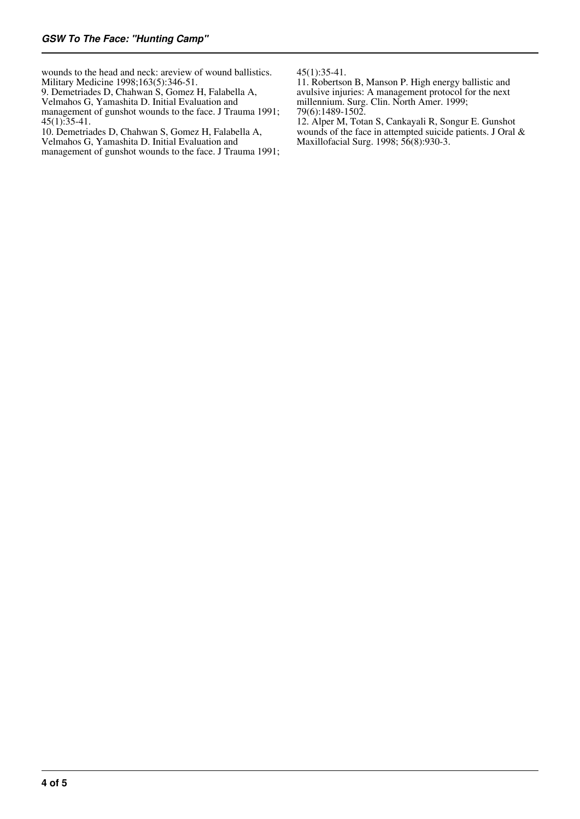wounds to the head and neck: areview of wound ballistics. Military Medicine 1998;163(5):346-51.

9. Demetriades D, Chahwan S, Gomez H, Falabella A,

Velmahos G, Yamashita D. Initial Evaluation and

management of gunshot wounds to the face. J Trauma 1991;  $45(1)$ :35-41.

10. Demetriades D, Chahwan S, Gomez H, Falabella A,

Velmahos G, Yamashita D. Initial Evaluation and management of gunshot wounds to the face. J Trauma 1991; 45(1):35-41.

11. Robertson B, Manson P. High energy ballistic and avulsive injuries: A management protocol for the next millennium. Surg. Clin. North Amer. 1999; 79(6):1489-1502.

12. Alper M, Totan S, Cankayali R, Songur E. Gunshot wounds of the face in attempted suicide patients. J Oral & Maxillofacial Surg. 1998; 56(8):930-3.